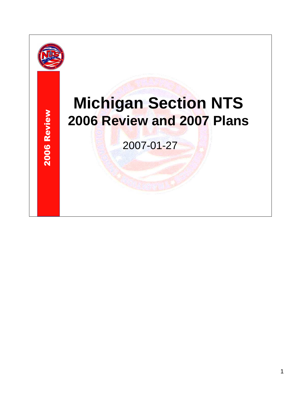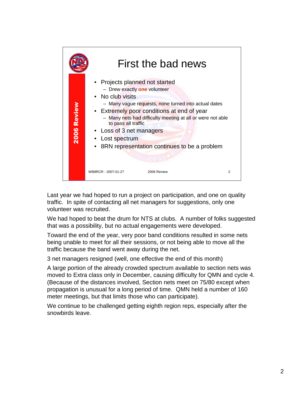

Last year we had hoped to run a project on participation, and one on quality traffic. In spite of contacting all net managers for suggestions, only one volunteer was recruited.

We had hoped to beat the drum for NTS at clubs. A number of folks suggested that was a possibility, but no actual engagements were developed.

Toward the end of the year, very poor band conditions resulted in some nets being unable to meet for all their sessions, or not being able to move all the traffic because the band went away during the net.

3 net managers resigned (well, one effective the end of this month)

A large portion of the already crowded spectrum available to section nets was moved to Extra class only in December, causing difficulty for QMN and cycle 4. (Because of the distances involved, Section nets meet on 75/80 except when propagation is unusual for a long period of time. QMN held a number of 160 meter meetings, but that limits those who can participate).

We continue to be challenged getting eighth region reps, especially after the snowbirds leave.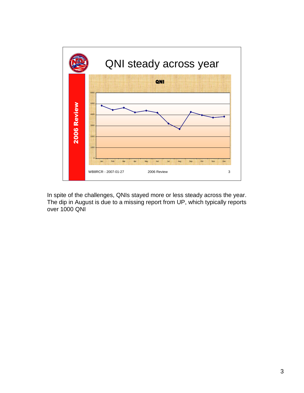

In spite of the challenges, QNIs stayed more or less steady across the year. The dip in August is due to a missing report from UP, which typically reports over 1000 QNI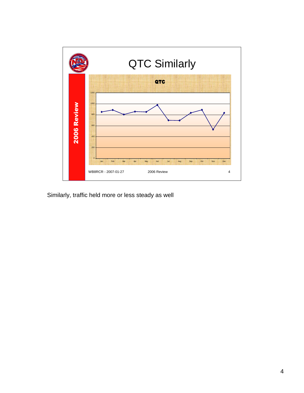

Similarly, traffic held more or less steady as well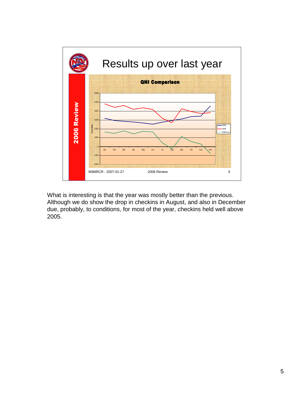

What is interesting is that the year was mostly better than the previous. Although we do show the drop in checkins in August, and also in December due, probably, to conditions, for most of the year, checkins held well above 2005.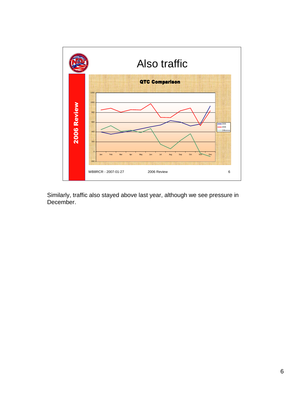

Similarly, traffic also stayed above last year, although we see pressure in December.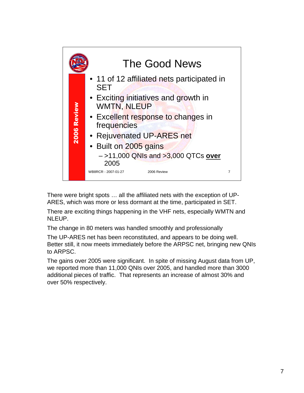

There were bright spots … all the affiliated nets with the exception of UP-ARES, which was more or less dormant at the time, participated in SET.

There are exciting things happening in the VHF nets, especially WMTN and NLEUP.

The change in 80 meters was handled smoothly and professionally

The UP-ARES net has been reconstituted, and appears to be doing well. Better still, it now meets immediately before the ARPSC net, bringing new QNIs to ARPSC.

The gains over 2005 were significant. In spite of missing August data from UP, we reported more than 11,000 QNIs over 2005, and handled more than 3000 additional pieces of traffic. That represents an increase of almost 30% and over 50% respectively.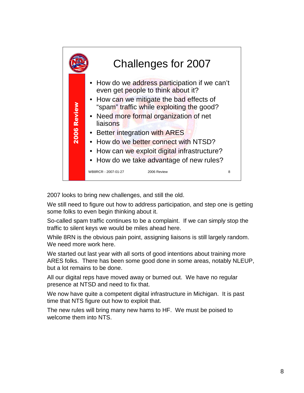

2007 looks to bring new challenges, and still the old.

We still need to figure out how to address participation, and step one is getting some folks to even begin thinking about it.

So-called spam traffic continues to be a complaint. If we can simply stop the traffic to silent keys we would be miles ahead here.

While 8RN is the obvious pain point, assigning liaisons is still largely random. We need more work here.

We started out last year with all sorts of good intentions about training more ARES folks. There has been some good done in some areas, notably NLEUP, but a lot remains to be done.

All our digital reps have moved away or burned out. We have no regular presence at NTSD and need to fix that.

We now have quite a competent digital infrastructure in Michigan. It is past time that NTS figure out how to exploit that.

The new rules will bring many new hams to HF. We must be poised to welcome them into NTS.